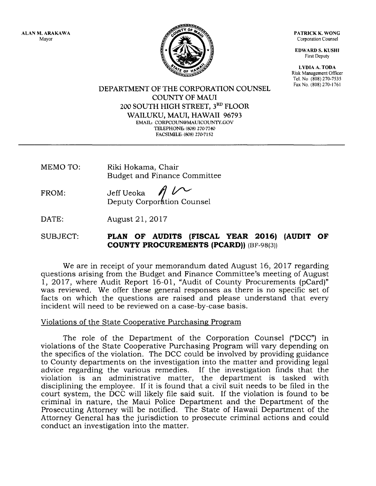ALAN M, ARAKAWA Mayor

PATRICK K. WONG Corporation Counsel

EDWARD S. KUSHI First Deputy

LYDIA A, TODA Risk Management Officer Tel. No (808) 270-7535 Fax No. (808) 270-1761

**TY OF** 

DEPARTMENT OF THE CORPORATION COUNSEL COLINTY OF MAUI 2Oo SOUTH HIGH STREET, 3RD FLOOR WAILUKU, MAUI, HAWAII 96793 EMAIL: CORPCOUN@MAUICOUNTY.GOV TELEPHONE: (808) 270-7740 FACSIMILE: (808) 270-7152

MEMO TO: Riki Hokama, Chair Budget and Finance Committee

FROM: Jeff Ueoka Deputy Corporation Counsel

DATE: August 2l,2Ol7

## SUBJECT: PLAN OF AUDITS (FISCAL YEAR 2016) (AUDIT OF **COUNTY PROCUREMENTS (PCARD))** (BF-98(3))

We are in receipt of your memorandum dated August 16, 2017 regarding questions arising from the Budget and Finance Committee's meeting of August 1,2017, where Audit Report 16-01, "Audit of County Procurements (pCard)" was reviewed. We offer these general responses as there is no specific set of facts on which the questions are raised and please understand that every incident will need to be reviewed on a case-by-case basis.

## Violations of the State Cooperative Purchasing Proqram

The role of the Department of the Corporation Counsel ("DCC") in violations of the State Cooperative Purchasing Program will vary depending on the specifics of the violation. The DCC could be involved by providing guidance to County departments on the investigation into the matter and providing legal advice regarding the various remedies. If the investigation finds that the violation is an administrative matter, the department is tasked with disciplining the employee. If it is found that a civil suit needs to be filed in the court system, the DCC will likely file said suit. If the violation is found to be criminal in nature, the Maui Police Department and the Department of the Prosecuting Attorney will be notified. The State of Hawaii Department of the Attorney General has the jurisdiction to prosecute criminal actions and could conduct an investigation into the matter.